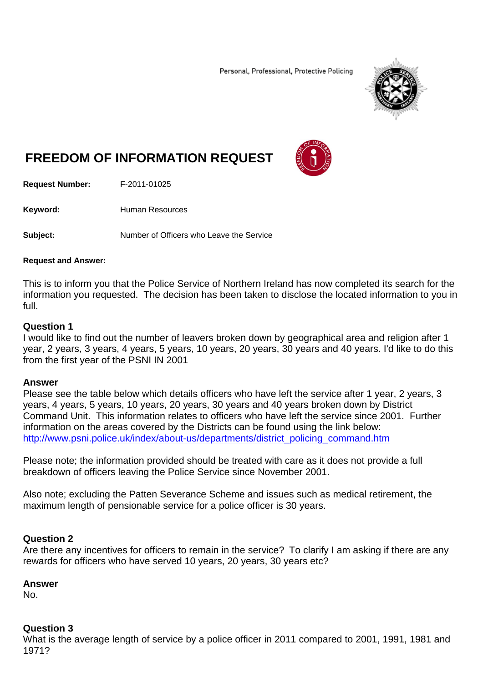Personal, Professional, Protective Policing



# **FREEDOM OF INFORMATION REQUEST**



**Request Number:** F-2011-01025

Keyword: **Human Resources** 

**Subject:** Number of Officers who Leave the Service

#### **Request and Answer:**

This is to inform you that the Police Service of Northern Ireland has now completed its search for the information you requested. The decision has been taken to disclose the located information to you in full.

## **Question 1**

I would like to find out the number of leavers broken down by geographical area and religion after 1 year, 2 years, 3 years, 4 years, 5 years, 10 years, 20 years, 30 years and 40 years. I'd like to do this from the first year of the PSNI IN 2001

### **Answer**

Please see the table below which details officers who have left the service after 1 year, 2 years, 3 years, 4 years, 5 years, 10 years, 20 years, 30 years and 40 years broken down by District Command Unit. This information relates to officers who have left the service since 2001. Further information on the areas covered by the Districts can be found using the link below: http://www.psni.police.uk/index/about-us/departments/district\_policing\_command.htm

Please note; the information provided should be treated with care as it does not provide a full breakdown of officers leaving the Police Service since November 2001.

Also note; excluding the Patten Severance Scheme and issues such as medical retirement, the maximum length of pensionable service for a police officer is 30 years.

# **Question 2**

Are there any incentives for officers to remain in the service? To clarify I am asking if there are any rewards for officers who have served 10 years, 20 years, 30 years etc?

### **Answer**

No.

### **Question 3**

What is the average length of service by a police officer in 2011 compared to 2001, 1991, 1981 and 1971?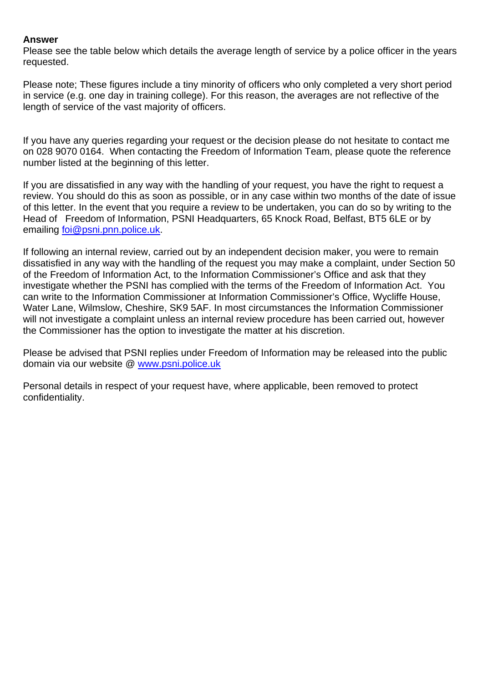# **Answer**

Please see the table below which details the average length of service by a police officer in the years requested.

Please note; These figures include a tiny minority of officers who only completed a very short period in service (e.g. one day in training college). For this reason, the averages are not reflective of the length of service of the vast majority of officers.

If you have any queries regarding your request or the decision please do not hesitate to contact me on 028 9070 0164. When contacting the Freedom of Information Team, please quote the reference number listed at the beginning of this letter.

If you are dissatisfied in any way with the handling of your request, you have the right to request a review. You should do this as soon as possible, or in any case within two months of the date of issue of this letter. In the event that you require a review to be undertaken, you can do so by writing to the Head of Freedom of Information, PSNI Headquarters, 65 Knock Road, Belfast, BT5 6LE or by emailing foi@psni.pnn.police.uk.

If following an internal review, carried out by an independent decision maker, you were to remain dissatisfied in any way with the handling of the request you may make a complaint, under Section 50 of the Freedom of Information Act, to the Information Commissioner's Office and ask that they investigate whether the PSNI has complied with the terms of the Freedom of Information Act. You can write to the Information Commissioner at Information Commissioner's Office, Wycliffe House, Water Lane, Wilmslow, Cheshire, SK9 5AF. In most circumstances the Information Commissioner will not investigate a complaint unless an internal review procedure has been carried out, however the Commissioner has the option to investigate the matter at his discretion.

Please be advised that PSNI replies under Freedom of Information may be released into the public domain via our website @ www.psni.police.uk

Personal details in respect of your request have, where applicable, been removed to protect confidentiality.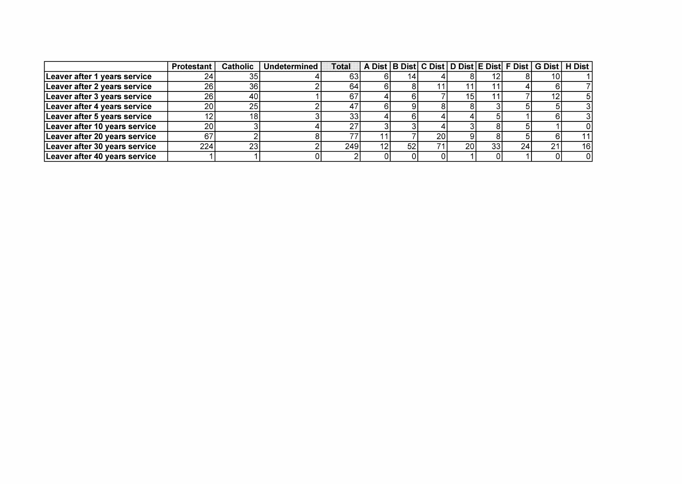|                               | <b>Protestant</b> | <b>Catholic</b> | ∣ Undetermined l | Total |    |    |                 |            |    |    |    | A Dist B Dist C Dist D Dist E Dist F Dist G Dist H Dist |
|-------------------------------|-------------------|-----------------|------------------|-------|----|----|-----------------|------------|----|----|----|---------------------------------------------------------|
| Leaver after 1 years service  | 24                | 35              |                  | 631   |    |    |                 |            |    |    |    |                                                         |
| Leaver after 2 years service  | 26                | 36              |                  | 64    |    |    |                 |            |    |    |    |                                                         |
| Leaver after 3 years service  | 26                | 40              |                  | 67    |    |    |                 | 15I        |    |    |    |                                                         |
| Leaver after 4 years service  | 20                | 25              |                  | 47    |    |    |                 |            |    |    |    |                                                         |
| Leaver after 5 years service  | 12                |                 |                  | 33    |    |    |                 |            |    |    |    |                                                         |
| Leaver after 10 years service | 20                |                 |                  | 27    |    |    |                 |            |    |    |    |                                                         |
| Leaver after 20 years service | 67                |                 |                  | 77    | 11 |    | 20 <sub>1</sub> |            |    |    |    | 11                                                      |
| Leaver after 30 years service | 224               | 23              |                  | 249I  | 12 | 52 |                 | <b>20l</b> | 33 | 24 | 21 | 16                                                      |
| Leaver after 40 years service |                   |                 |                  |       |    |    |                 |            |    |    |    |                                                         |